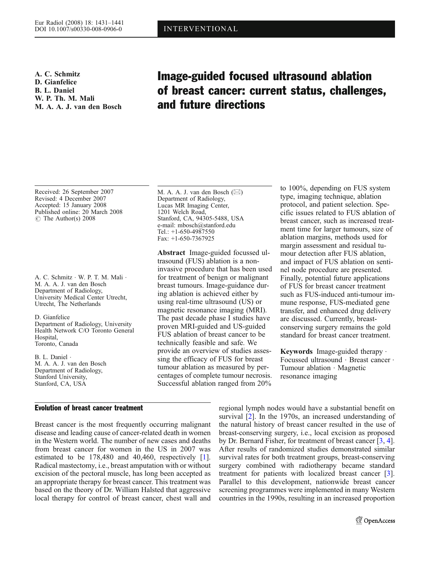A. C. Schmitz D. Gianfelice B. L. Daniel W. P. Th. M. Mali M. A. A. J. van den Bosch

# Image-guided focused ultrasound ablation of breast cancer: current status, challenges, and future directions

Received: 26 September 2007 Revised: 4 December 2007 Accepted: 15 January 2008 Published online: 20 March 2008 *#* The Author(s) 2008

A. C. Schmitz . W. P. T. M. Mali . M. A. A. J. van den Bosch Department of Radiology, University Medical Center Utrecht, Utrecht, The Netherlands

D. Gianfelice Department of Radiology, University Health Network C/O Toronto General Hospital, Toronto, Canada

B. L. Daniel . M. A. A. J. van den Bosch Department of Radiology, Stanford University, Stanford, CA, USA

# Evolution of breast cancer treatment

Breast cancer is the most frequently occurring malignant disease and leading cause of cancer-related death in women in the Western world. The number of new cases and deaths from breast cancer for women in the US in 2007 was estimated to be 178,480 and 40,460, respectively [[1\]](#page-8-0). Radical mastectomy, i.e., breast amputation with or without excision of the pectoral muscle, has long been accepted as an appropriate therapy for breast cancer. This treatment was based on the theory of Dr. William Halsted that aggressive local therapy for control of breast cancer, chest wall and

M. A. A. J. van den Bosch (*\**) Department of Radiology, Lucas MR Imaging Center, 1201 Welch Road, Stanford, CA, 94305-5488, USA e-mail: mbosch@stanford.edu Tel.: +1-650-4987550 Fax: +1-650-7367925

Abstract Image-guided focussed ultrasound (FUS) ablation is a noninvasive procedure that has been used for treatment of benign or malignant breast tumours. Image-guidance during ablation is achieved either by using real-time ultrasound (US) or magnetic resonance imaging (MRI). The past decade phase I studies have proven MRI-guided and US-guided FUS ablation of breast cancer to be technically feasible and safe. We provide an overview of studies assessing the efficacy of FUS for breast tumour ablation as measured by percentages of complete tumour necrosis. Successful ablation ranged from 20%

to 100%, depending on FUS system type, imaging technique, ablation protocol, and patient selection. Specific issues related to FUS ablation of breast cancer, such as increased treatment time for larger tumours, size of ablation margins, methods used for margin assessment and residual tumour detection after FUS ablation, and impact of FUS ablation on sentinel node procedure are presented. Finally, potential future applications of FUS for breast cancer treatment such as FUS-induced anti-tumour immune response, FUS-mediated gene transfer, and enhanced drug delivery are discussed. Currently, breastconserving surgery remains the gold standard for breast cancer treatment.

Keywords Image-guided therapy . Focussed ultrasound . Breast cancer . Tumour ablation . Magnetic resonance imaging

regional lymph nodes would have a substantial benefit on survival [[2](#page-8-0)]. In the 1970s, an increased understanding of the natural history of breast cancer resulted in the use of breast-conserving surgery, i.e., local excision as proposed by Dr. Bernard Fisher, for treatment of breast cancer [\[3,](#page-8-0) [4](#page-8-0)]. After results of randomized studies demonstrated similar survival rates for both treatment groups, breast-conserving surgery combined with radiotherapy became standard treatment for patients with localized breast cancer [[3](#page-8-0)]. Parallel to this development, nationwide breast cancer screening programmes were implemented in many Western countries in the 1990s, resulting in an increased proportion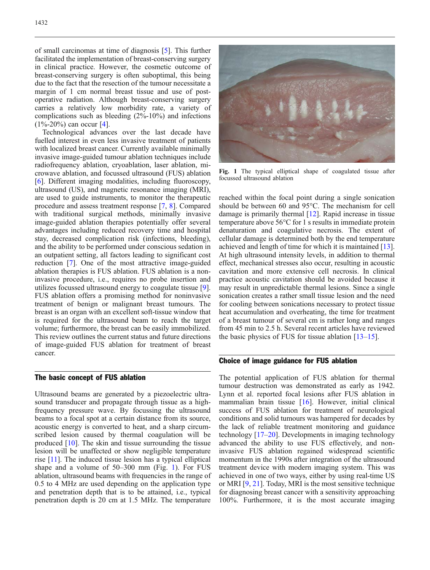of small carcinomas at time of diagnosis [\[5\]](#page-8-0). This further facilitated the implementation of breast-conserving surgery in clinical practice. However, the cosmetic outcome of breast-conserving surgery is often suboptimal, this being due to the fact that the resection of the tumour necessitate a margin of 1 cm normal breast tissue and use of postoperative radiation. Although breast-conserving surgery carries a relatively low morbidity rate, a variety of complications such as bleeding (2%-10%) and infections  $(1\% - 20\%)$  can occur [\[4\]](#page-8-0).

Technological advances over the last decade have fuelled interest in even less invasive treatment of patients with localized breast cancer. Currently available minimally invasive image-guided tumour ablation techniques include radiofrequency ablation, cryoablation, laser ablation, microwave ablation, and focussed ultrasound (FUS) ablation [[6\]](#page-8-0). Different imaging modalities, including fluoroscopy, ultrasound (US), and magnetic resonance imaging (MRI), are used to guide instruments, to monitor the therapeutic procedure and assess treatment response [[7,](#page-9-0) [8\]](#page-9-0). Compared with traditional surgical methods, minimally invasive image-guided ablation therapies potentially offer several advantages including reduced recovery time and hospital stay, decreased complication risk (infections, bleeding), and the ability to be performed under conscious sedation in an outpatient setting, all factors leading to significant cost reduction [[7](#page-9-0)]. One of the most attractive image-guided ablation therapies is FUS ablation. FUS ablation is a noninvasive procedure, i.e., requires no probe insertion and utilizes focussed ultrasound energy to coagulate tissue [[9\]](#page-9-0). FUS ablation offers a promising method for noninvasive treatment of benign or malignant breast tumours. The breast is an organ with an excellent soft-tissue window that is required for the ultrasound beam to reach the target volume; furthermore, the breast can be easily immobilized. This review outlines the current status and future directions of image-guided FUS ablation for treatment of breast cancer.

# The basic concept of FUS ablation

Ultrasound beams are generated by a piezoelectric ultrasound transducer and propagate through tissue as a highfrequency pressure wave. By focussing the ultrasound beams to a focal spot at a certain distance from its source, acoustic energy is converted to heat, and a sharp circumscribed lesion caused by thermal coagulation will be produced [[10](#page-9-0)]. The skin and tissue surrounding the tissue lesion will be unaffected or show negligible temperature rise [[11\]](#page-9-0). The induced tissue lesion has a typical elliptical shape and a volume of 50–300 mm (Fig. 1). For FUS ablation, ultrasound beams with frequencies in the range of 0.5 to 4 MHz are used depending on the application type and penetration depth that is to be attained, i.e., typical penetration depth is 20 cm at 1.5 MHz. The temperature



Fig. 1 The typical elliptical shape of coagulated tissue after focussed ultrasound ablation

reached within the focal point during a single sonication should be between 60 and 95°C. The mechanism for cell damage is primarily thermal [[12\]](#page-9-0). Rapid increase in tissue temperature above 56°C for 1 s results in immediate protein denaturation and coagulative necrosis. The extent of cellular damage is determined both by the end temperature achieved and length of time for which it is maintained [[13](#page-9-0)]. At high ultrasound intensity levels, in addition to thermal effect, mechanical stresses also occur, resulting in acoustic cavitation and more extensive cell necrosis. In clinical practice acoustic cavitation should be avoided because it may result in unpredictable thermal lesions. Since a single sonication creates a rather small tissue lesion and the need for cooling between sonications necessary to protect tissue heat accumulation and overheating, the time for treatment of a breast tumour of several cm is rather long and ranges from 45 min to 2.5 h. Several recent articles have reviewed the basic physics of FUS for tissue ablation [\[13](#page-9-0)–[15\]](#page-9-0).

# Choice of image guidance for FUS ablation

The potential application of FUS ablation for thermal tumour destruction was demonstrated as early as 1942. Lynn et al. reported focal lesions after FUS ablation in mammalian brain tissue [\[16\]](#page-9-0). However, initial clinical success of FUS ablation for treatment of neurological conditions and solid tumours was hampered for decades by the lack of reliable treatment monitoring and guidance technology [[17](#page-9-0)–[20\]](#page-9-0). Developments in imaging technology advanced the ability to use FUS effectively, and noninvasive FUS ablation regained widespread scientific momentum in the 1990s after integration of the ultrasound treatment device with modern imaging system. This was achieved in one of two ways, either by using real-time US or MRI [[9,](#page-9-0) [21](#page-9-0)]. Today, MRI is the most sensitive technique for diagnosing breast cancer with a sensitivity approaching 100%. Furthermore, it is the most accurate imaging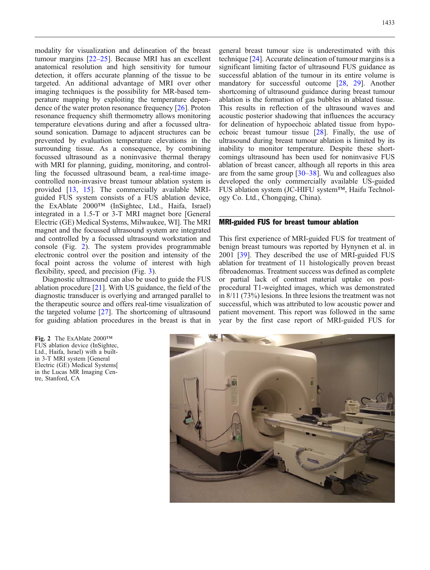modality for visualization and delineation of the breast tumour margins [\[22](#page-9-0)–[25](#page-9-0)]. Because MRI has an excellent anatomical resolution and high sensitivity for tumour detection, it offers accurate planning of the tissue to be targeted. An additional advantage of MRI over other imaging techniques is the possibility for MR-based temperature mapping by exploiting the temperature dependence of the water proton resonance frequency [[26](#page-9-0)]. Proton resonance frequency shift thermometry allows monitoring temperature elevations during and after a focussed ultrasound sonication. Damage to adjacent structures can be prevented by evaluation temperature elevations in the surrounding tissue. As a consequence, by combining focussed ultrasound as a noninvasive thermal therapy with MRI for planning, guiding, monitoring, and controlling the focussed ultrasound beam, a real-time imagecontrolled non-invasive breast tumour ablation system is provided [\[13,](#page-9-0) [15\]](#page-9-0). The commercially available MRIguided FUS system consists of a FUS ablation device, the ExAblate 2000™ (InSightec, Ltd., Haifa, Israel) integrated in a 1.5-T or 3-T MRI magnet bore [General Electric (GE) Medical Systems, Milwaukee, WI]. The MRI magnet and the focussed ultrasound system are integrated and controlled by a focussed ultrasound workstation and console (Fig. 2). The system provides programmable electronic control over the position and intensity of the focal point across the volume of interest with high flexibility, speed, and precision (Fig. [3\)](#page-3-0).

Diagnostic ultrasound can also be used to guide the FUS ablation procedure [\[21\]](#page-9-0). With US guidance, the field of the diagnostic transducer is overlying and arranged parallel to the therapeutic source and offers real-time visualization of the targeted volume [[27](#page-9-0)]. The shortcoming of ultrasound for guiding ablation procedures in the breast is that in

Fig. 2 The ExAblate 2000™ FUS ablation device (InSightec, Ltd., Haifa, Israel) with a builtin 3-T MRI system [General Electric (GE) Medical Systems[ in the Lucas MR Imaging Centre, Stanford, CA

general breast tumour size is underestimated with this technique [\[24\]](#page-9-0). Accurate delineation of tumour margins is a significant limiting factor of ultrasound FUS guidance as successful ablation of the tumour in its entire volume is mandatory for successful outcome [\[28,](#page-9-0) [29](#page-9-0)]. Another shortcoming of ultrasound guidance during breast tumour ablation is the formation of gas bubbles in ablated tissue. This results in reflection of the ultrasound waves and acoustic posterior shadowing that influences the accuracy for delineation of hypoechoic ablated tissue from hypoechoic breast tumour tissue [\[28](#page-9-0)]. Finally, the use of ultrasound during breast tumour ablation is limited by its inability to monitor temperature. Despite these shortcomings ultrasound has been used for noninvasive FUS ablation of breast cancer, although all reports in this area are from the same group [[30](#page-9-0)–[38\]](#page-9-0). Wu and colleagues also developed the only commercially available US-guided FUS ablation system (JC-HIFU system™, Haifu Technology Co. Ltd., Chongqing, China).

#### MRI-guided FUS for breast tumour ablation

This first experience of MRI-guided FUS for treatment of benign breast tumours was reported by Hynynen et al. in 2001 [\[39\]](#page-10-0). They described the use of MRI-guided FUS ablation for treatment of 11 histologically proven breast fibroadenomas. Treatment success was defined as complete or partial lack of contrast material uptake on postprocedural T1-weighted images, which was demonstrated in 8/11 (73%) lesions. In three lesions the treatment was not successful, which was attributed to low acoustic power and patient movement. This report was followed in the same year by the first case report of MRI-guided FUS for

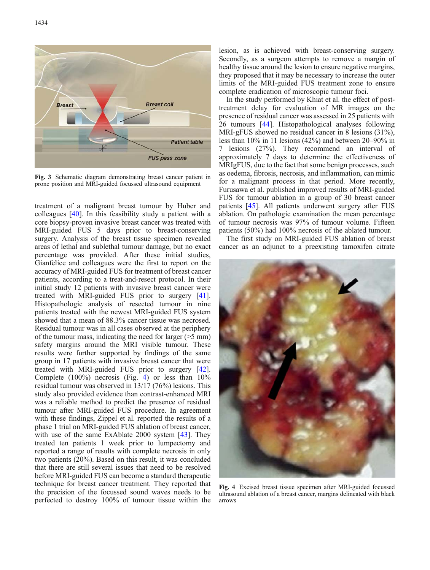<span id="page-3-0"></span>

Fig. 3 Schematic diagram demonstrating breast cancer patient in prone position and MRI-guided focussed ultrasound equipment

treatment of a malignant breast tumour by Huber and colleagues [\[40\]](#page-10-0). In this feasibility study a patient with a core biopsy-proven invasive breast cancer was treated with MRI-guided FUS 5 days prior to breast-conserving surgery. Analysis of the breast tissue specimen revealed areas of lethal and sublethal tumour damage, but no exact percentage was provided. After these initial studies, Gianfelice and colleagues were the first to report on the accuracy of MRI-guided FUS for treatment of breast cancer patients, according to a treat-and-resect protocol. In their initial study 12 patients with invasive breast cancer were treated with MRI-guided FUS prior to surgery [[41\]](#page-10-0). Histopathologic analysis of resected tumour in nine patients treated with the newest MRI-guided FUS system showed that a mean of 88.3% cancer tissue was necrosed. Residual tumour was in all cases observed at the periphery of the tumour mass, indicating the need for larger (>5 mm) safety margins around the MRI visible tumour. These results were further supported by findings of the same group in 17 patients with invasive breast cancer that were treated with MRI-guided FUS prior to surgery [[42\]](#page-10-0). Complete (100%) necrosis (Fig. 4) or less than 10% residual tumour was observed in 13/17 (76%) lesions. This study also provided evidence than contrast-enhanced MRI was a reliable method to predict the presence of residual tumour after MRI-guided FUS procedure. In agreement with these findings, Zippel et al. reported the results of a phase 1 trial on MRI-guided FUS ablation of breast cancer, with use of the same ExAblate 2000 system [[43](#page-10-0)]. They treated ten patients 1 week prior to lumpectomy and reported a range of results with complete necrosis in only two patients (20%). Based on this result, it was concluded that there are still several issues that need to be resolved before MRI-guided FUS can become a standard therapeutic technique for breast cancer treatment. They reported that the precision of the focussed sound waves needs to be perfected to destroy 100% of tumour tissue within the

lesion, as is achieved with breast-conserving surgery. Secondly, as a surgeon attempts to remove a margin of healthy tissue around the lesion to ensure negative margins, they proposed that it may be necessary to increase the outer limits of the MRI-guided FUS treatment zone to ensure complete eradication of microscopic tumour foci.

In the study performed by Khiat et al. the effect of posttreatment delay for evaluation of MR images on the presence of residual cancer was assessed in 25 patients with 26 tumours [\[44\]](#page-10-0). Histopathological analyses following MRI-gFUS showed no residual cancer in 8 lesions (31%), less than 10% in 11 lesions (42%) and between 20–90% in 7 lesions (27%). They recommend an interval of approximately 7 days to determine the effectiveness of MRIgFUS, due to the fact that some benign processes, such as oedema, fibrosis, necrosis, and inflammation, can mimic for a malignant process in that period. More recently, Furusawa et al. published improved results of MRI-guided FUS for tumour ablation in a group of 30 breast cancer patients [[45](#page-10-0)]. All patients underwent surgery after FUS ablation. On pathologic examination the mean percentage of tumour necrosis was 97% of tumour volume. Fifteen patients (50%) had 100% necrosis of the ablated tumour.

The first study on MRI-guided FUS ablation of breast cancer as an adjunct to a preexisting tamoxifen citrate



Fig. 4 Excised breast tissue specimen after MRI-guided focussed ultrasound ablation of a breast cancer, margins delineated with black arrows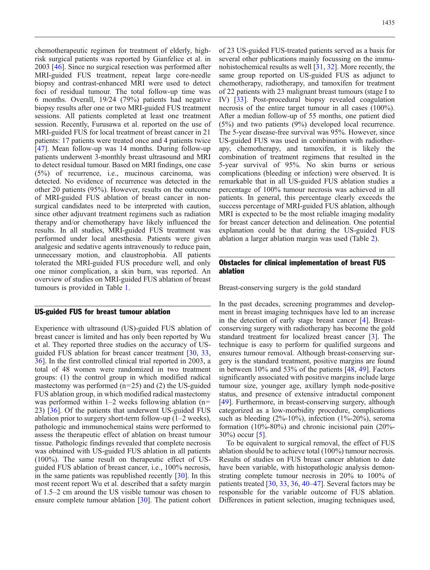chemotherapeutic regimen for treatment of elderly, highrisk surgical patients was reported by Gianfelice et al. in 2003 [\[46\]](#page-10-0). Since no surgical resection was performed after MRI-guided FUS treatment, repeat large core-needle biopsy and contrast-enhanced MRI were used to detect foci of residual tumour. The total follow-up time was 6 months. Overall, 19/24 (79%) patients had negative biopsy results after one or two MRI-guided FUS treatment sessions. All patients completed at least one treatment session. Recently, Furusawa et al. reported on the use of MRI-guided FUS for local treatment of breast cancer in 21 patients: 17 patients were treated once and 4 patients twice [[47](#page-10-0)]. Mean follow-up was 14 months. During follow-up patients underwent 3-monthly breast ultrasound and MRI to detect residual tumour. Based on MRI findings, one case (5%) of recurrence, i.e., mucinous carcinoma, was detected. No evidence of recurrence was detected in the other 20 patients (95%). However, results on the outcome of MRI-guided FUS ablation of breast cancer in nonsurgical candidates need to be interpreted with caution, since other adjuvant treatment regimens such as radiation therapy and/or chemotherapy have likely influenced the results. In all studies, MRI-guided FUS treatment was performed under local anesthesia. Patients were given analgesic and sedative agents intravenously to reduce pain, unnecessary motion, and claustrophobia. All patients tolerated the MRI-guided FUS procedure well, and only one minor complication, a skin burn, was reported. An overview of studies on MRI-guided FUS ablation of breast tumours is provided in Table [1.](#page-5-0)

## US-guided FUS for breast tumour ablation

Experience with ultrasound (US)-guided FUS ablation of breast cancer is limited and has only been reported by Wu et al. They reported three studies on the accuracy of USguided FUS ablation for breast cancer treatment [[30](#page-9-0), [33](#page-9-0), [36\]](#page-9-0). In the first controlled clinical trial reported in 2003, a total of 48 women were randomized in two treatment groups: (1) the control group in which modified radical mastectomy was performed  $(n=25)$  and  $(2)$  the US-guided FUS ablation group, in which modified radical mastectomy was performed within  $1-2$  weeks following ablation (n= 23) [\[36\]](#page-9-0). Of the patients that underwent US-guided FUS ablation prior to surgery short-term follow-up (1–2 weeks), pathologic and immunochemical stains were performed to assess the therapeutic effect of ablation on breast tumour tissue. Pathologic findings revealed that complete necrosis was obtained with US-guided FUS ablation in all patients (100%). The same result on therapeutic effect of USguided FUS ablation of breast cancer, i.e., 100% necrosis, in the same patients was republished recently [[30](#page-9-0)]. In this most recent report Wu et al. described that a safety margin of 1.5–2 cm around the US visible tumour was chosen to ensure complete tumour ablation [\[30\]](#page-9-0). The patient cohort

of 23 US-guided FUS-treated patients served as a basis for several other publications mainly focussing on the immunohistochemical results as well [[31](#page-9-0), [32\]](#page-9-0). More recently, the same group reported on US-guided FUS as adjunct to chemotherapy, radiotherapy, and tamoxifen for treatment of 22 patients with 23 malignant breast tumours (stage I to IV) [[33](#page-9-0)]. Post-procedural biopsy revealed coagulation necrosis of the entire target tumour in all cases (100%). After a median follow-up of 55 months, one patient died (5%) and two patients (9%) developed local recurrence. The 5-year disease-free survival was 95%. However, since US-guided FUS was used in combination with radiotherapy, chemotherapy, and tamoxifen, it is likely the combination of treatment regimens that resulted in the 5-year survival of 95%. No skin burns or serious complications (bleeding or infection) were observed. It is remarkable that in all US-guided FUS ablation studies a percentage of 100% tumour necrosis was achieved in all patients. In general, this percentage clearly exceeds the success percentage of MRI-guided FUS ablation, although MRI is expected to be the most reliable imaging modality for breast cancer detection and delineation. One potential explanation could be that during the US-guided FUS ablation a larger ablation margin was used (Table [2](#page-6-0)).

# Obstacles for clinical implementation of breast FUS ablation

Breast-conserving surgery is the gold standard

In the past decades, screening programmes and development in breast imaging techniques have led to an increase in the detection of early stage breast cancer [[4](#page-8-0)]. Breastconserving surgery with radiotherapy has become the gold standard treatment for localized breast cancer [\[3](#page-8-0)]. The technique is easy to perform for qualified surgeons and ensures tumour removal. Although breast-conserving surgery is the standard treatment, positive margins are found in between 10% and 53% of the patients [[48](#page-10-0), [49\]](#page-10-0). Factors significantly associated with positive margins include large tumour size, younger age, axillary lymph node-positive status, and presence of extensive intraductal component [[49](#page-10-0)]. Furthermore, in breast-conserving surgery, although categorized as a low-morbidity procedure, complications such as bleeding  $(2\% -10\%)$ , infection  $(1\% -20\%)$ , seroma formation (10%-80%) and chronic incisional pain (20%- 30%) occur [\[5\]](#page-8-0).

To be equivalent to surgical removal, the effect of FUS ablation should be to achieve total (100%) tumour necrosis. Results of studies on FUS breast cancer ablation to date have been variable, with histopathologic analysis demonstrating complete tumour necrosis in 20% to 100% of patients treated [[30](#page-9-0), [33,](#page-9-0) [36](#page-9-0), [40](#page-10-0)–[47\]](#page-10-0). Several factors may be responsible for the variable outcome of FUS ablation. Differences in patient selection, imaging techniques used,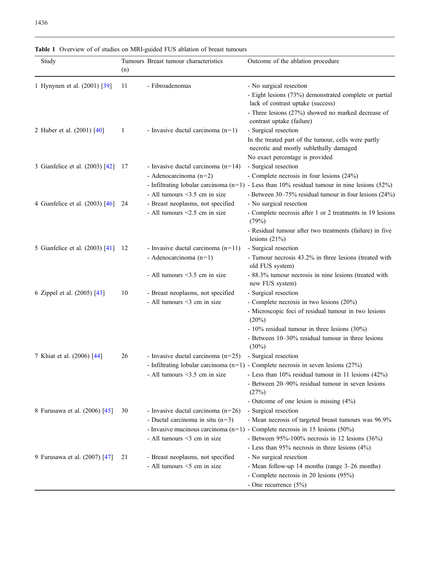| Study                              | (n) | Tumours Breast tumour characteristics                                                                     | Outcome of the ablation procedure                                                                                                                                                                                                                                 |
|------------------------------------|-----|-----------------------------------------------------------------------------------------------------------|-------------------------------------------------------------------------------------------------------------------------------------------------------------------------------------------------------------------------------------------------------------------|
| 1 Hynynen et al. (2001) [39]       | 11  | - Fibroadenomas                                                                                           | - No surgical resection<br>- Eight lesions (73%) demonstrated complete or partial<br>lack of contrast uptake (success)<br>- Three lesions (27%) showed no marked decrease of<br>contrast uptake (failure)                                                         |
| 2 Huber et al. (2001) [40]         | 1   | - Invasive ductal carcinoma $(n=1)$                                                                       | - Surgical resection<br>In the treated part of the tumour, cells were partly<br>necrotic and mostly sublethally damaged<br>No exact percentage is provided                                                                                                        |
| 3 Gianfelice et al. (2003) [42]    | 17  | - Invasive ductal carcinoma $(n=14)$<br>- Adenocarcinoma $(n=2)$<br>- All tumours <3.5 cm in size         | - Surgical resection<br>- Complete necrosis in four lesions (24%)<br>- Infiltrating lobular carcinoma $(n=1)$ - Less than 10% residual tumour in nine lesions (52%)<br>- Between 30–75% residual tumour in four lesions (24%)                                     |
| 4 Gianfelice et al. (2003) [46] 24 |     | - Breast neoplasms, not specified<br>- All tumours <2.5 cm in size                                        | - No surgical resection<br>- Complete necrosis after 1 or 2 treatments in 19 lesions<br>(79%)<br>- Residual tumour after two treatments (failure) in five                                                                                                         |
| 5 Gianfelice et al. (2003) [41]    | -12 | - Invasive ductal carcinoma $(n=11)$<br>- Adenocarcinoma $(n=1)$                                          | lesions $(21%)$<br>- Surgical resection<br>- Tumour necrosis 43.2% in three lesions (treated with<br>old FUS system)                                                                                                                                              |
| 6 Zippel et al. (2005) [43]        | 10  | - All tumours <3.5 cm in size<br>- Breast neoplasms, not specified<br>- All tumours <3 cm in size         | - 88.3% tumour necrosis in nine lesions (treated with<br>new FUS system)<br>- Surgical resection<br>- Complete necrosis in two lesions (20%)                                                                                                                      |
|                                    |     |                                                                                                           | - Microscopic foci of residual tumour in two lesions<br>$(20\%)$<br>- 10% residual tumour in three lesions (30%)<br>- Between 10-30% residual tumour in three lesions<br>(30%)                                                                                    |
| 7 Khiat et al. (2006) [44]         | 26  | - Invasive ductal carcinoma $(n=25)$<br>- All tumours $\leq$ 3.5 cm in size                               | - Surgical resection<br>- Infiltrating lobular carcinoma $(n=1)$ - Complete necrosis in seven lesions (27%)<br>- Less than $10\%$ residual tumour in 11 lesions $(42\%)$<br>- Between 20–90% residual tumour in seven lesions<br>(27%)                            |
| 8 Furusawa et al. (2006) [45]      | 30  | - Invasive ductal carcinoma $(n=26)$<br>- Ductal carcinoma in situ $(n=3)$<br>- All tumours <3 cm in size | - Outcome of one lesion is missing $(4%)$<br>- Surgical resection<br>- Mean necrosis of targeted breast tumours was 96.9%<br>- Invasive mucinous carcinoma $(n=1)$ - Complete necrosis in 15 lesions (50%)<br>- Between $95\%$ -100% necrosis in 12 lesions (36%) |
| 9 Furusawa et al. (2007) [47]      | 21  | - Breast neoplasms, not specified<br>- All tumours <5 cm in size                                          | - Less than $95\%$ necrosis in three lesions $(4\%)$<br>- No surgical resection<br>- Mean follow-up 14 months (range 3-26 months)<br>- Complete necrosis in 20 lesions (95%)<br>- One recurrence $(5\%)$                                                          |

<span id="page-5-0"></span>Table 1 Overview of of studies on MRI-guided FUS ablation of breast tumours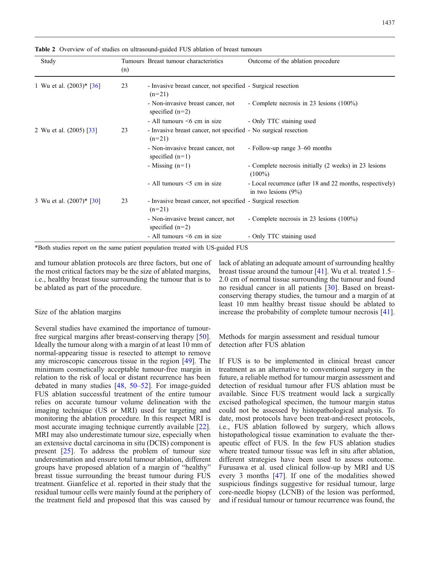| Study                       | (n) | Tumours Breast tumour characteristics                                       | Outcome of the ablation procedure                                                   |
|-----------------------------|-----|-----------------------------------------------------------------------------|-------------------------------------------------------------------------------------|
| 1 Wu et al. $(2003)^*$ [36] | 23  | - Invasive breast cancer, not specified - Surgical resection<br>$(n=21)$    |                                                                                     |
|                             |     | - Non-invasive breast cancer, not<br>specified $(n=2)$                      | - Complete necrosis in 23 lesions $(100\%)$                                         |
|                             |     | $-$ All tumours $\leq 6$ cm in size                                         | - Only TTC staining used                                                            |
| 2 Wu et al. (2005) [33]     | 23  | - Invasive breast cancer, not specified - No surgical resection<br>$(n=21)$ |                                                                                     |
|                             |     | - Non-invasive breast cancer, not<br>specified $(n=1)$                      | - Follow-up range 3–60 months                                                       |
|                             |     | - Missing $(n=1)$                                                           | - Complete necrosis initially (2 weeks) in 23 lesions<br>$(100\%)$                  |
|                             |     | - All tumours $\leq$ cm in size                                             | - Local recurrence (after 18 and 22 months, respectively)<br>in two lesions $(9\%)$ |
| 3 Wu et al. (2007)* [30]    | 23  | - Invasive breast cancer, not specified - Surgical resection<br>$(n=21)$    |                                                                                     |
|                             |     | - Non-invasive breast cancer, not<br>specified $(n=2)$                      | - Complete necrosis in 23 lesions $(100\%)$                                         |
|                             |     | - All tumours $\leq 6$ cm in size                                           | - Only TTC staining used                                                            |

<span id="page-6-0"></span>Table 2 Overview of of studies on ultrasound-guided FUS ablation of breast tumours

\*Both studies report on the same patient population treated with US-guided FUS

and tumour ablation protocols are three factors, but one of the most critical factors may be the size of ablated margins, i.e., healthy breast tissue surrounding the tumour that is to be ablated as part of the procedure.

#### Size of the ablation margins

Several studies have examined the importance of tumourfree surgical margins after breast-conserving therapy [[50\]](#page-10-0). Ideally the tumour along with a margin of at least 10 mm of normal-appearing tissue is resected to attempt to remove any microscopic cancerous tissue in the region [[49](#page-10-0)]. The minimum cosmetically acceptable tumour-free margin in relation to the risk of local or distant recurrence has been debated in many studies [[48](#page-10-0), [50](#page-10-0)–[52\]](#page-10-0). For image-guided FUS ablation successful treatment of the entire tumour relies on accurate tumour volume delineation with the imaging technique (US or MRI) used for targeting and monitoring the ablation procedure. In this respect MRI is most accurate imaging technique currently available [[22\]](#page-9-0). MRI may also underestimate tumour size, especially when an extensive ductal carcinoma in situ (DCIS) component is present [[25](#page-9-0)]. To address the problem of tumour size underestimation and ensure total tumour ablation, different groups have proposed ablation of a margin of "healthy" breast tissue surrounding the breast tumour during FUS treatment. Gianfelice et al. reported in their study that the residual tumour cells were mainly found at the periphery of the treatment field and proposed that this was caused by

lack of ablating an adequate amount of surrounding healthy breast tissue around the tumour [\[41\]](#page-10-0). Wu et al. treated 1.5– 2.0 cm of normal tissue surrounding the tumour and found no residual cancer in all patients [[30](#page-9-0)]. Based on breastconserving therapy studies, the tumour and a margin of at least 10 mm healthy breast tissue should be ablated to increase the probability of complete tumour necrosis [[41](#page-10-0)].

Methods for margin assessment and residual tumour detection after FUS ablation

If FUS is to be implemented in clinical breast cancer treatment as an alternative to conventional surgery in the future, a reliable method for tumour margin assessment and detection of residual tumour after FUS ablation must be available. Since FUS treatment would lack a surgically excised pathological specimen, the tumour margin status could not be assessed by histopathological analysis. To date, most protocols have been treat-and-resect protocols, i.e., FUS ablation followed by surgery, which allows histopathological tissue examination to evaluate the therapeutic effect of FUS. In the few FUS ablation studies where treated tumour tissue was left in situ after ablation, different strategies have been used to assess outcome. Furusawa et al. used clinical follow-up by MRI and US every 3 months [\[47\]](#page-10-0). If one of the modalities showed suspicious findings suggestive for residual tumour, large core-needle biopsy (LCNB) of the lesion was performed, and if residual tumour or tumour recurrence was found, the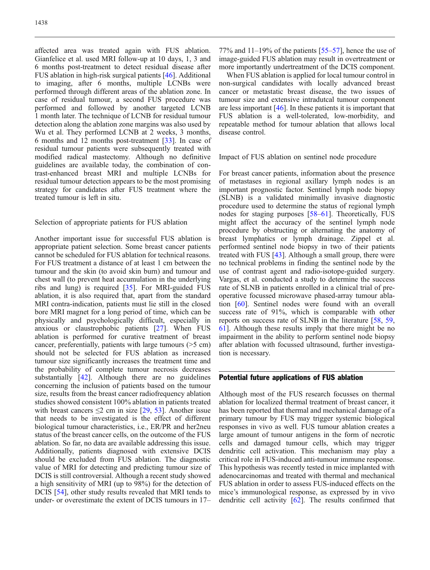affected area was treated again with FUS ablation. Gianfelice et al. used MRI follow-up at 10 days, 1, 3 and 6 months post-treatment to detect residual disease after FUS ablation in high-risk surgical patients [[46](#page-10-0)]. Additional to imaging, after 6 months, multiple LCNBs were performed through different areas of the ablation zone. In case of residual tumour, a second FUS procedure was performed and followed by another targeted LCNB 1 month later. The technique of LCNB for residual tumour detection along the ablation zone margins was also used by Wu et al. They performed LCNB at 2 weeks, 3 months, 6 months and 12 months post-treatment [\[33\]](#page-9-0). In case of residual tumour patients were subsequently treated with modified radical mastectomy. Although no definitive guidelines are available today, the combination of contrast-enhanced breast MRI and multiple LCNBs for residual tumour detection appears to be the most promising strategy for candidates after FUS treatment where the treated tumour is left in situ.

Selection of appropriate patients for FUS ablation

Another important issue for successful FUS ablation is appropriate patient selection. Some breast cancer patients cannot be scheduled for FUS ablation for technical reasons. For FUS treatment a distance of at least 1 cm between the tumour and the skin (to avoid skin burn) and tumour and chest wall (to prevent heat accumulation in the underlying ribs and lung) is required [[35](#page-9-0)]. For MRI-guided FUS ablation, it is also required that, apart from the standard MRI contra-indication, patients must lie still in the closed bore MRI magnet for a long period of time, which can be physically and psychologically difficult, especially in anxious or claustrophobic patients [\[27\]](#page-9-0). When FUS ablation is performed for curative treatment of breast cancer, preferentially, patients with large tumours (>5 cm) should not be selected for FUS ablation as increased tumour size significantly increases the treatment time and the probability of complete tumour necrosis decreases substantially [[42](#page-10-0)]. Although there are no guidelines concerning the inclusion of patients based on the tumour size, results from the breast cancer radiofrequency ablation studies showed consistent 100% ablation in patients treated with breast cancers  $\leq$ 2 cm in size [\[29,](#page-9-0) [53](#page-10-0)]. Another issue that needs to be investigated is the effect of different biological tumour characteristics, i.e., ER/PR and her2neu status of the breast cancer cells, on the outcome of the FUS ablation. So far, no data are available addressing this issue. Additionally, patients diagnosed with extensive DCIS should be excluded from FUS ablation. The diagnostic value of MRI for detecting and predicting tumour size of DCIS is still controversial. Although a recent study showed a high sensitivity of MRI (up to 98%) for the detection of DCIS [[54\]](#page-10-0), other study results revealed that MRI tends to under- or overestimate the extent of DCIS tumours in 17–

77% and  $11-19%$  of the patients [[55](#page-10-0)–[57](#page-10-0)], hence the use of image-guided FUS ablation may result in overtreatment or more importantly undertreatment of the DCIS component.

When FUS ablation is applied for local tumour control in non-surgical candidates with locally advanced breast cancer or metastatic breast disease, the two issues of tumour size and extensive intradutcal tumour component are less important [[46\]](#page-10-0). In these patients it is important that FUS ablation is a well-tolerated, low-morbidity, and repeatable method for tumour ablation that allows local disease control.

Impact of FUS ablation on sentinel node procedure

For breast cancer patients, information about the presence of metastases in regional axillary lymph nodes is an important prognostic factor. Sentinel lymph node biopsy (SLNB) is a validated minimally invasive diagnostic procedure used to determine the status of regional lymph nodes for staging purposes [\[58](#page-10-0)–[61](#page-10-0)]. Theoretically, FUS might affect the accuracy of the sentinel lymph node procedure by obstructing or alternating the anatomy of breast lymphatics or lymph drainage. Zippel et al. performed sentinel node biopsy in two of their patients treated with FUS [\[43\]](#page-10-0). Although a small group, there were no technical problems in finding the sentinel node by the use of contrast agent and radio-isotope-guided surgery. Vargas, et al. conducted a study to determine the success rate of SLNB in patients enrolled in a clinical trial of preoperative focussed microwave phased-array tumour ablation [[60](#page-10-0)]. Sentinel nodes were found with an overall success rate of 91%, which is comparable with other reports on success rate of SLNB in the literature [\[58,](#page-10-0) [59](#page-10-0), [61\]](#page-10-0). Although these results imply that there might be no impairment in the ability to perform sentinel node biopsy after ablation with focussed ultrasound, further investigation is necessary.

# Potential future applications of FUS ablation

Although most of the FUS research focusses on thermal ablation for localized thermal treatment of breast cancer, it has been reported that thermal and mechanical damage of a primary tumour by FUS may trigger systemic biological responses in vivo as well. FUS tumour ablation creates a large amount of tumour antigens in the form of necrotic cells and damaged tumour cells, which may trigger dendritic cell activation. This mechanism may play a critical role in FUS-induced anti-tumour immune response. This hypothesis was recently tested in mice implanted with adenocarcinomas and treated with thermal and mechanical FUS ablation in order to assess FUS-induced effects on the mice's immunological response, as expressed by in vivo dendritic cell activity [\[62\]](#page-10-0). The results confirmed that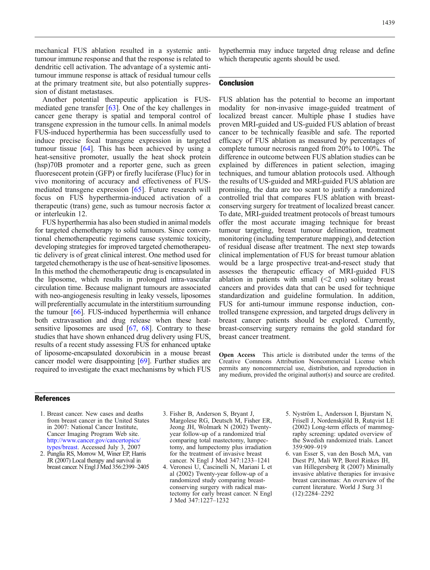<span id="page-8-0"></span>mechanical FUS ablation resulted in a systemic antitumour immune response and that the response is related to dendritic cell activation. The advantage of a systemic antitumour immune response is attack of residual tumour cells at the primary treatment site, but also potentially suppression of distant metastases.

Another potential therapeutic application is FUSmediated gene transfer [\[63\]](#page-10-0). One of the key challenges in cancer gene therapy is spatial and temporal control of transgene expression in the tumour cells. In animal models FUS-induced hyperthermia has been successfully used to induce precise focal transgene expression in targeted tumour tissue [[64](#page-10-0)]. This has been achieved by using a heat-sensitive promoter, usually the heat shock protein (hsp)70B promoter and a reporter gene, such as green fluoresecent protein (GFP) or firefly luciferase (Fluc) for in vivo monitoring of accuracy and effectiveness of FUSmediated transgene expression [[65](#page-10-0)]. Future research will focus on FUS hyperthermia-induced activation of a therapeutic (trans) gene, such as tumour necrosis factor  $\alpha$ or interleukin 12.

FUS hyperthermia has also been studied in animal models for targeted chemotherapy to solid tumours. Since conventional chemotherapeutic regimens cause systemic toxicity, developing strategies for improved targeted chemotherapeutic delivery is of great clinical interest. One method used for targeted chemotherapy is the use of heat-sensitive liposomes. In this method the chemotherapeutic drug is encapsulated in the liposome, which results in prolonged intra-vascular circulation time. Because malignant tumours are associated with neo-angiogenesis resulting in leaky vessels, liposomes will preferentially accumulate in the interstitium surrounding the tumour [[66\]](#page-10-0). FUS-induced hyperthermia will enhance both extravasation and drug release when these heat-sensitive liposomes are used [[67,](#page-10-0) [68\]](#page-10-0). Contrary to these studies that have shown enhanced drug delivery using FUS, results of a recent study assessing FUS for enhanced uptake of liposome-encapsulated doxorubicin in a mouse breast cancer model were disappointing [\[69](#page-10-0)]. Further studies are required to investigate the exact mechanisms by which FUS

hypethermia may induce targeted drug release and define which therapeutic agents should be used.

### **Conclusion**

FUS ablation has the potential to become an important modality for non-invasive image-guided treatment of localized breast cancer. Multiple phase I studies have proven MRI-guided and US-guided FUS ablation of breast cancer to be technically feasible and safe. The reported efficacy of FUS ablation as measured by percentages of complete tumour necrosis ranged from 20% to 100%. The difference in outcome between FUS ablation studies can be explained by differences in patient selection, imaging techniques, and tumour ablation protocols used. Although the results of US-guided and MRI-guided FUS ablation are promising, the data are too scant to justify a randomized controlled trial that compares FUS ablation with breastconserving surgery for treatment of localized breast cancer. To date, MRI-guided treatment protocols of breast tumours offer the most accurate imaging technique for breast tumour targeting, breast tumour delineation, treatment monitoring (including temperature mapping), and detection of residual disease after treatment. The next step towards clinical implementation of FUS for breast tumour ablation would be a large prospective treat-and-resect study that assesses the therapeutic efficacy of MRI-guided FUS ablation in patients with small  $(\leq 2 \text{ cm})$  solitary breast cancers and provides data that can be used for technique standardization and guideline formulation. In addition, FUS for anti-tumour immune response induction, controlled transgene expression, and targeted drugs delivery in breast cancer patients should be explored. Currently, breast-conserving surgery remains the gold standard for breast cancer treatment.

Open Access This article is distributed under the terms of the Creative Commons Attribution Noncommercial License which permits any noncommercial use, distribution, and reproduction in any medium, provided the original author(s) and source are credited.

#### References

- 1. Breast cancer. New cases and deaths from breast cancer in the United States in 2007: National Cancer Institute, Cancer Imaging Program Web site. [http://www.cancer.gov/cancertopics/](http://www.cancer.gov/cancertopics/types/breast) [types/breast](http://www.cancer.gov/cancertopics/types/breast). Accessed July 3, 2007
- 2. Punglia RS, Morrow M, Winer EP, Harris JR (2007) Local therapy and survival in breast cancer. N Engl JMed 356:2399–2405
- 3. Fisher B, Anderson S, Bryant J, Margolese RG, Deutsch M, Fisher ER, Jeong JH, Wolmark N (2002) Twentyyear follow-up of a randomized trial comparing total mastectomy, lumpectomy, and lumpectomy plus irradiation for the treatment of invasive breast cancer. N Engl J Med 347:1233–1241
- 4. Veronesi U, Cascinelli N, Mariani L et al (2002) Twenty-year follow-up of a randomized study comparing breastconserving surgery with radical mastectomy for early breast cancer. N Engl J Med 347:1227–1232
- 5. Nyström L, Andersson I, Bjurstam N, Frisell J, Nordenskjöld B, Rutqvist LE (2002) Long-term effects of mammography screening: updated overview of the Swedish randomized trials. Lancet 359:909–919
- 6. van Esser S, van den Bosch MA, van Diest PJ, Mali WP, Borel Rinkes IH, van Hillegersberg R (2007) Minimally invasive ablative therapies for invasive breast carcinomas: An overview of the current literature. World J Surg 31 (12):2284–2292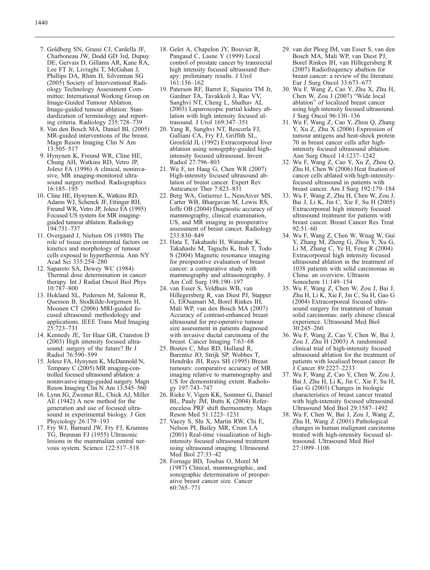- <span id="page-9-0"></span>7. Goldberg SN, Grassi CJ, Cardella JF, Charboneau JW, Dodd GD 3rd, Dupuy DE, Gervais D, Gillams AR, Kane RA, Lee FT Jr, Livraghi T, McGahan J, Phillips DA, Rhim H, Silverman SG (2005) Society of Interventional Radiology Technology Assessment Committee; International Working Group on Image-Guided Tumour Ablation. Image-guided tumour ablation: Standardization of terminology and reporting criteria. Radiology 235:728–739
- 8. Van den Bosch MA, Daniel BL (2005) MR-guided interventions of the breast. Magn Reson Imaging Clin N Am 13:505–517
- 9. Hynynen K, Freund WR, Cline HE, Chung AH, Watkins RD, Vetro JP, Jolesz FA (1996) A clinical, noninvasive, MR imaging-monitored ultrasound surgery method. Radiographics 16:185–195
- 10. Cline HE, Hynynen K, Watkins RD, Adams WJ, Schenck JF, Ettinger RH, Freund WR, Vetro JP, Jolesz FA (1995) Focused US system for MR imagingguided tumour ablation. Radiology 194:731–737
- 11. Overgaard J, Nielsen OS (1980) The role of tissue environmental factors on kinetics and morphology of tumour cells exposed to hyperthermia. Ann NY Acad Sci 335:254–280
- 12. Sapareto SA, Dewey WC (1984) Thermal dose determination in cancer therapy. Int J Radiat Oncol Biol Phys 10:787–800
- 13. Hokland SL, Pedersen M, Salomir R, Quesson B, Stodkilde-Jorgensen H, Moonen CT (2006) MRI-guided focused ultrasound: methodology and applications. IEEE Trans Med Imaging 25:723–731
- 14. Kennedy JE, Ter Haar GR, Cranston D (2003) High intensity focused ultrasound: surgery of the future? Br J Radiol 76:590–599
- 15. Jolesz FA, Hynynen K, McDannold N, Tempany C (2005) MR imaging-controlled focused ultrasound ablation: a noninvasive image-guided surgery. Magn Reson Imaging Clin N Am 13:545–560
- 16. Lynn JG, Zwemer RL, Chick AJ, Miller AE (1942) A new method for the generation and use of focused ultrasound in experimental biology. J Gen Phyciology 26:179–193
- 17. Fry WJ, Barnard JW, Fry FJ, Krumins TG, Brannan FJ (1955) Ultrasonic lesions in the mammalian central nervous system. Science 122:517–518
- 18. Gelet A, Chapelon JY, Bouvier R, Pangaud C, Lasne Y (1999) Local control of prostate cancer by transrectal high intensity focused ultrasound therapy: preliminary results. J Urol 161:156–162
- 19. Paterson RF, Barret E, Siqueira TM Jr, Gardner TA, Tavakkoli J, Rao VV, Sanghvi NT, Cheng L, Shalhav AL (2003) Laparoscopic partial kidney ablation with high intensity focused ultrasound. J Urol 169:347–351
- 20. Yang R, Sanghvi NT, Rescorla FJ, Galliani CA, Fry FJ, Griffith SL, Grosfeld JL (1992) Extracorporeal liver ablation using sonogrphy-guided highintensity focused ultrasound. Invest Radiol 27:796–803
- 21. Wu F, ter Haag G, Chen WR (2007) High-intensity focused ultrasound ablation of breast cancer. Expert Rev Anticancer Ther 7:823–831
- 22. Berg WA, Gutierrez L, NessAiver MS, Carter WB, Bhargavan M, Lewis RS, Ioffe OB (2004) Diagnostic accuracy of mammography, clinical examination, US, and MR imaging in preoperative assessment of breast cancer. Radiology 233:830–849
- 23. Hata T, Takahashi H, Watanabe K, Takahashi M, Taguchi K, Itoh T, Todo S (2004) Magnetic resonance imaging for preoperative evaluation of breast cancer: a comparative study with mammography and ultrasonography. J Am Coll Surg 198:190–197
- 24. van Esser S, Veldhuis WB, van Hillegersberg R, van Diest PJ, Stapper G, ElOuamari M, Borel Rinkes IH, Mali WP, van den Bosch MA (2007) Accuracy of contrast-enhanced breast ultrasound for pre-operative tumour size assessment in patients diagnosed with invasive ductal carcinoma of the breast. Cancer Imaging 7:63–68
- 25. Boetes C, Mus RD, Holland R, Barentsz JO, Strijk SP, Wobbes T, Hendriks JH, Ruys SH (1995) Breast tumours: comparative accuracy of MR imaging relative to mammography and US for demonstrating extent. Radiology 197:743–747
- 26. Rieke V, Vigen KK, Sommer G, Daniel BL, Pauly JM, Butts K (2004) Referenceless PRF shift thermometry. Magn Reson Med 51:1223–1231
- 27. Vaezy S, Shi X, Martin RW, Chi E, Nelson PI, Bailey MR, Crum LA (2001) Real-time visualization of highintensity focused ultrasound treatment using ultrasound imaging. Ultrasound Med Biol 27:33–42
- 28. Fornage BD, Toubas O, Morel M (1987) Clinical, mammographic, and sonographic determination of preoperative breast cancer size. Cancer 60:765–771
- 29. van der Ploeg IM, van Esser S, van den Bosch MA, Mali WP, van Diest PJ, Borel Rinkes IH, van Hillegersberg R (2007) Radiofrequency abaltion for breast cancer: a review of the literature. Eur J Surg Oncol 33:673–677
- 30. Wu F, Wang Z, Cao Y, Zhu X, Zhu H, Chen W, Zou J (2007) "Wide local ablation" of localized breast cancer using high intensity focused ultrasound. J Surg Oncol 96:130–136
- 31. Wu F, Wang Z, Cao Y, Zhou Q, Zhang Y, Xu Z, Zhu X (2006) Expression of tumour antigens and heat-shock protein 70 in breast cancer cells after highintensity focused ultrasound ablation. Ann Surg Oncol 14:1237–1242
- 32. Wu F, Wang Z, Cao Y, Xu Z, Zhou Q, Zhu H, Chen W (2006) Heat fixation of cancer cells ablated with high-intensityfocused ultrasound in patients with breast cancer. Am J Surg 192:179–184
- 33. Wu F, Wang Z, Zhu H, Chen W, Zou J, Bai J, Li K, Jin C, Xie F, Su H (2005) Extracorporeal high intensity focused ultrasound treatment for patients with breast cancer. Breast Cancer Res Treat 92:51–60
- 34. Wu F, Wang Z, Chen W, Wnag W, Gui Y, Zhang M, Zheng G, Zhou Y, Xu G, Li M, Zhang C, Ye H, Feng R (2004) Extracorporeal high intensity focused ultrasound ablation in the treatment of 1038 patients with solid carcinomas in China: an overview. Ultrason Sonochem 11:149–154
- 35. Wu F, Wang Z, Chen W, Zou J, Bai J, Zhu H, Li K, Xie F, Jin C, Su H, Gao G (2004) Extracorporeal focused ultrasound surgery for treatment of human solid carcinomas: early chinese clinical experience. Ultrasound Med Biol 30:245–260
- 36. Wu F, Wang Z, Cao Y, Chen W, Bai J, Zou J, Zhu H (2003) A randomised clinical trial of high-intensity focused ultrasound ablation for the treatment of patients with localised breast cancer. Br J Cancer 89:2227–2233
- 37. Wu F, Wang Z, Cao Y, Chen W, Zou J, Bai J, Zhu H, Li K, Jin C, Xie F, Su H, Gao G (2003) Changes in biologic characteristics of breast cancer treated with high-intensity focused ultrasound. Ultrasound Med Biol 29:1587–1492
- 38. Wu F, Chen W, Bai J, Zou J, Wang Z, Zhu H, Wang Z (2001) Pathological changes in human malignant carcinoma treated with high-intensity focused ultrasound. Ultrasound Med Biol 27:1099–1106